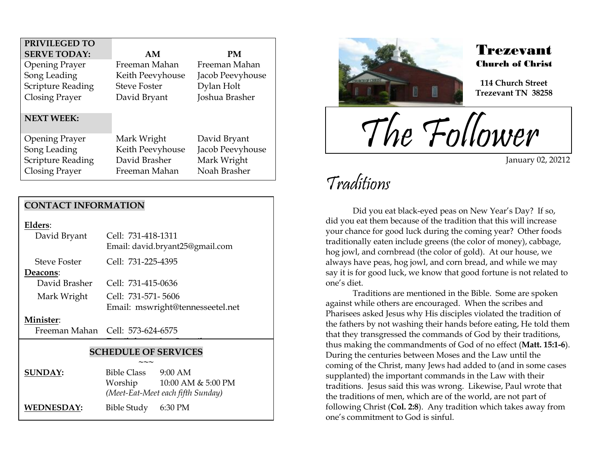| PRIVILEGED TO            |                     |                  |
|--------------------------|---------------------|------------------|
| <b>SERVE TODAY:</b>      | AM                  | PM               |
| <b>Opening Prayer</b>    | Freeman Mahan       | Freeman Mahan    |
| Song Leading             | Keith Peevyhouse    | Jacob Peevyhouse |
| <b>Scripture Reading</b> | <b>Steve Foster</b> | Dylan Holt       |
| <b>Closing Prayer</b>    | David Bryant        | Joshua Brasher   |
| <b>NEXT WEEK:</b>        |                     |                  |
| <b>Opening Prayer</b>    | Mark Wright         | David Bryant     |
| Song Leading             | Keith Peevyhouse    | Jacob Peevyhouse |
| <b>Scripture Reading</b> | David Brasher       | Mark Wright      |
| Closing Prayer           | Freeman Mahan       | Noah Brasher     |

### **CONTACT INFORMATION**

**Elders**:

| David Bryant        | Cell: 731-418-1311<br>Email: david.bryant25@gmail.com |  |
|---------------------|-------------------------------------------------------|--|
| <b>Steve Foster</b> | Cell: 731-225-4395                                    |  |
| Deacons:            |                                                       |  |
| David Brasher       | Cell: 731-415-0636                                    |  |
| Mark Wright         | Cell: 731-571-5606                                    |  |
|                     | Email: mswright@tennesseetel.net                      |  |
|                     |                                                       |  |

#### **Minister**:

Freeman Mahan Cell: 573-624-6575

### **SCHEDULE OF SERVICES**

 $\overline{\phantom{a}}$ 

|                   | $\sim\sim\sim$                    |                    |
|-------------------|-----------------------------------|--------------------|
| <b>SUNDAY:</b>    | Bible Class                       | $9:00$ AM          |
|                   | Worship                           | 10:00 AM & 5:00 PM |
|                   | (Meet-Eat-Meet each fifth Sunday) |                    |
| <b>WEDNESDAY:</b> | Bible Study 6:30 PM               |                    |



### Trezevant Church of Christ

**114 Church Street Trezevant TN 38258**

The Follower

January 02, 20212

## Traditions

.<br>F

Did you eat black-eyed peas on New Year's Day? If so, did you eat them because of the tradition that this will increase your chance for good luck during the coming year? Other foods traditionally eaten include greens (the color of money), cabbage, hog jowl, and cornbread (the color of gold). At our house, we always have peas, hog jowl, and corn bread, and while we may say it is for good luck, we know that good fortune is not related to one's diet.

Traditions are mentioned in the Bible. Some are spoken against while others are encouraged. When the scribes and Pharisees asked Jesus why His disciples violated the tradition of the fathers by not washing their hands before eating, He told them that they transgressed the commands of God by their traditions, thus making the commandments of God of no effect (**Matt. 15:1-6**). During the centuries between Moses and the Law until the coming of the Christ, many Jews had added to (and in some cases supplanted) the important commands in the Law with their traditions. Jesus said this was wrong. Likewise, Paul wrote that the traditions of men, which are of the world, are not part of following Christ (**Col. 2:8**). Any tradition which takes away from one's commitment to God is sinful.